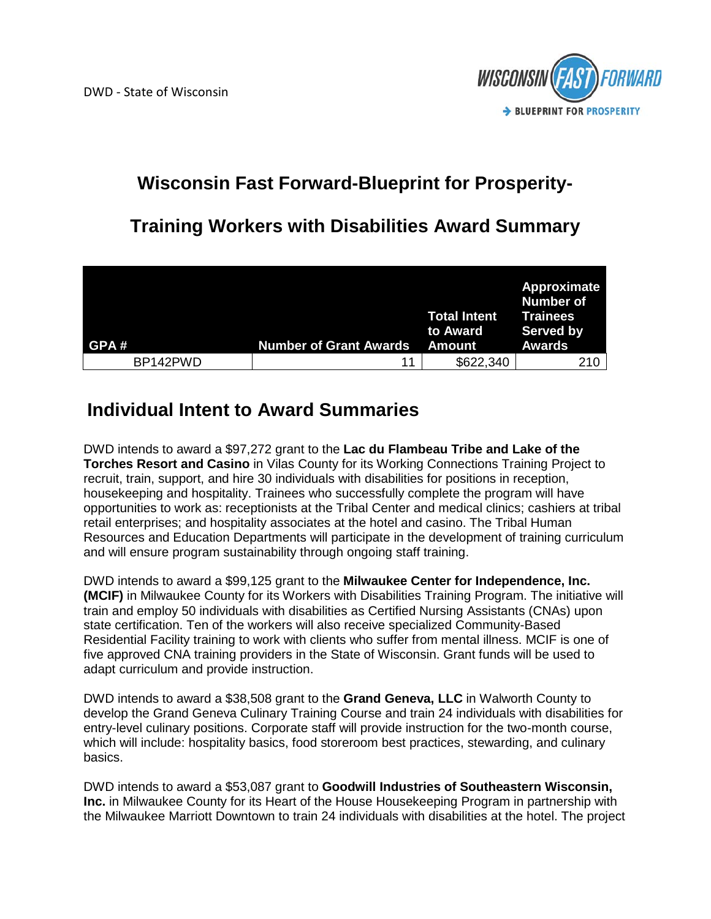

## **Wisconsin Fast Forward-Blueprint for Prosperity-**

## **Training Workers with Disabilities Award Summary**

| GPA#     | <b>Number of Grant Awards</b> | <b>Total Intent</b><br>to Award<br>Amount | Approximate<br>Number of<br><b>Trainees</b><br><b>Served by</b><br><b>Awards</b> |
|----------|-------------------------------|-------------------------------------------|----------------------------------------------------------------------------------|
| BP142PWD | 11                            | \$622,340                                 | 210                                                                              |

## **Individual Intent to Award Summaries**

DWD intends to award a \$97,272 grant to the **Lac du Flambeau Tribe and Lake of the Torches Resort and Casino** in Vilas County for its Working Connections Training Project to recruit, train, support, and hire 30 individuals with disabilities for positions in reception, housekeeping and hospitality. Trainees who successfully complete the program will have opportunities to work as: receptionists at the Tribal Center and medical clinics; cashiers at tribal retail enterprises; and hospitality associates at the hotel and casino. The Tribal Human Resources and Education Departments will participate in the development of training curriculum and will ensure program sustainability through ongoing staff training.

DWD intends to award a \$99,125 grant to the **Milwaukee Center for Independence, Inc. (MCIF)** in Milwaukee County for its Workers with Disabilities Training Program. The initiative will train and employ 50 individuals with disabilities as Certified Nursing Assistants (CNAs) upon state certification. Ten of the workers will also receive specialized Community-Based Residential Facility training to work with clients who suffer from mental illness. MCIF is one of five approved CNA training providers in the State of Wisconsin. Grant funds will be used to adapt curriculum and provide instruction.

DWD intends to award a \$38,508 grant to the **Grand Geneva, LLC** in Walworth County to develop the Grand Geneva Culinary Training Course and train 24 individuals with disabilities for entry-level culinary positions. Corporate staff will provide instruction for the two-month course, which will include: hospitality basics, food storeroom best practices, stewarding, and culinary basics.

DWD intends to award a \$53,087 grant to **Goodwill Industries of Southeastern Wisconsin, Inc.** in Milwaukee County for its Heart of the House Housekeeping Program in partnership with the Milwaukee Marriott Downtown to train 24 individuals with disabilities at the hotel. The project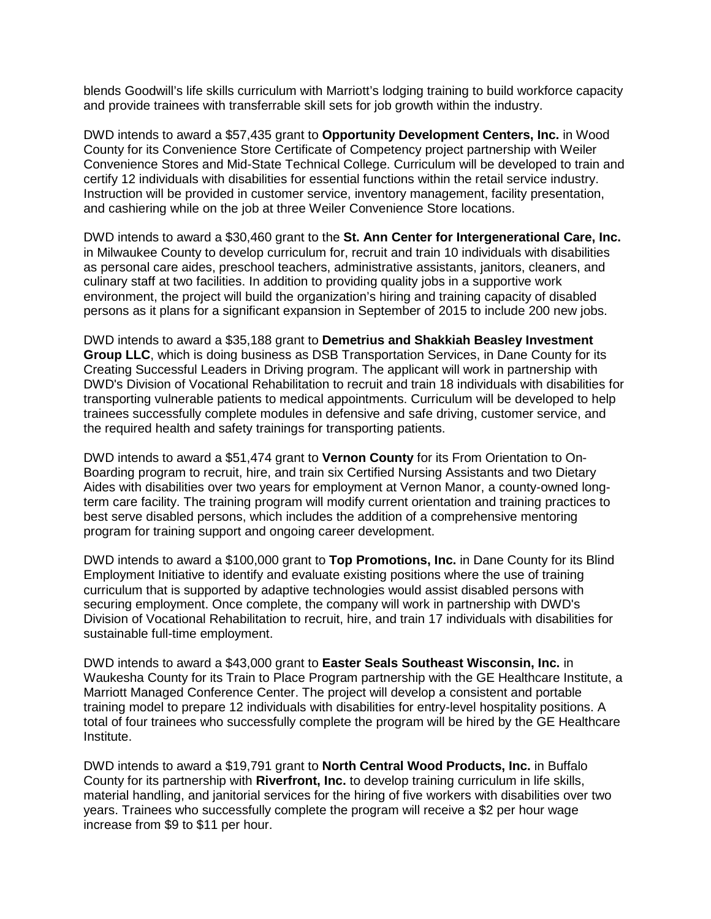blends Goodwill's life skills curriculum with Marriott's lodging training to build workforce capacity and provide trainees with transferrable skill sets for job growth within the industry.

DWD intends to award a \$57,435 grant to **Opportunity Development Centers, Inc.** in Wood County for its Convenience Store Certificate of Competency project partnership with Weiler Convenience Stores and Mid-State Technical College. Curriculum will be developed to train and certify 12 individuals with disabilities for essential functions within the retail service industry. Instruction will be provided in customer service, inventory management, facility presentation, and cashiering while on the job at three Weiler Convenience Store locations.

DWD intends to award a \$30,460 grant to the **St. Ann Center for Intergenerational Care, Inc.** in Milwaukee County to develop curriculum for, recruit and train 10 individuals with disabilities as personal care aides, preschool teachers, administrative assistants, janitors, cleaners, and culinary staff at two facilities. In addition to providing quality jobs in a supportive work environment, the project will build the organization's hiring and training capacity of disabled persons as it plans for a significant expansion in September of 2015 to include 200 new jobs.

DWD intends to award a \$35,188 grant to **Demetrius and Shakkiah Beasley Investment Group LLC**, which is doing business as DSB Transportation Services, in Dane County for its Creating Successful Leaders in Driving program. The applicant will work in partnership with DWD's Division of Vocational Rehabilitation to recruit and train 18 individuals with disabilities for transporting vulnerable patients to medical appointments. Curriculum will be developed to help trainees successfully complete modules in defensive and safe driving, customer service, and the required health and safety trainings for transporting patients.

DWD intends to award a \$51,474 grant to **Vernon County** for its From Orientation to On-Boarding program to recruit, hire, and train six Certified Nursing Assistants and two Dietary Aides with disabilities over two years for employment at Vernon Manor, a county-owned longterm care facility. The training program will modify current orientation and training practices to best serve disabled persons, which includes the addition of a comprehensive mentoring program for training support and ongoing career development.

DWD intends to award a \$100,000 grant to **Top Promotions, Inc.** in Dane County for its Blind Employment Initiative to identify and evaluate existing positions where the use of training curriculum that is supported by adaptive technologies would assist disabled persons with securing employment. Once complete, the company will work in partnership with DWD's Division of Vocational Rehabilitation to recruit, hire, and train 17 individuals with disabilities for sustainable full-time employment.

DWD intends to award a \$43,000 grant to **Easter Seals Southeast Wisconsin, Inc.** in Waukesha County for its Train to Place Program partnership with the GE Healthcare Institute, a Marriott Managed Conference Center. The project will develop a consistent and portable training model to prepare 12 individuals with disabilities for entry-level hospitality positions. A total of four trainees who successfully complete the program will be hired by the GE Healthcare Institute.

DWD intends to award a \$19,791 grant to **North Central Wood Products, Inc.** in Buffalo County for its partnership with **Riverfront, Inc.** to develop training curriculum in life skills, material handling, and janitorial services for the hiring of five workers with disabilities over two years. Trainees who successfully complete the program will receive a \$2 per hour wage increase from \$9 to \$11 per hour.